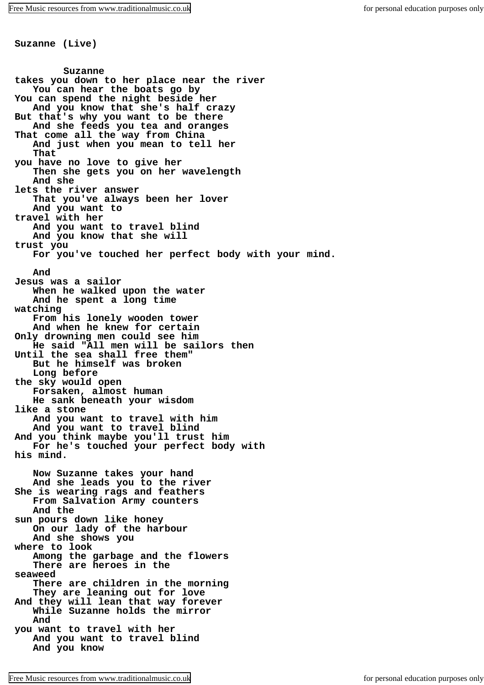**Suzanne (Live)**

 **Suzanne takes you down to her place near the river You can hear the boats go by You can spend the night beside her And you know that she's half crazy But that's why you want to be there And she feeds you tea and oranges That come all the way from China And just when you mean to tell her That you have no love to give her Then she gets you on her wavelength And she lets the river answer That you've always been her lover And you want to travel with her And you want to travel blind And you know that she will trust you For you've touched her perfect body with your mind. And Jesus was a sailor When he walked upon the water And he spent a long time watching From his lonely wooden tower And when he knew for certain Only drowning men could see him He said "All men will be sailors then Until the sea shall free them" But he himself was broken Long before the sky would open Forsaken, almost human He sank beneath your wisdom like a stone And you want to travel with him And you want to travel blind And you think maybe you'll trust him For he's touched your perfect body with his mind. Now Suzanne takes your hand And she leads you to the river She is wearing rags and feathers From Salvation Army counters And the sun pours down like honey On our lady of the harbour And she shows you where to look Among the garbage and the flowers There are heroes in the seaweed There are children in the morning They are leaning out for love And they will lean that way forever While Suzanne holds the mirror And you want to travel with her And you want to travel blind And you know**